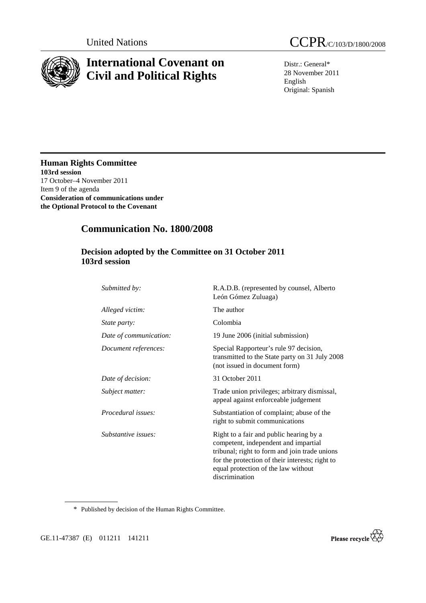

# **International Covenant on Civil and Political Rights**

United Nations CCPR/C/103/D/1800/2008

Distr.: General\* 28 November 2011 English Original: Spanish

**Human Rights Committee 103rd session**  17 October–4 November 2011 Item 9 of the agenda **Consideration of communications under the Optional Protocol to the Covenant** 

## **Communication No. 1800/2008**

### **Decision adopted by the Committee on 31 October 2011 103rd session**

| Submitted by:             | R.A.D.B. (represented by counsel, Alberto<br>León Gómez Zuluaga)                                                                                                                                                                             |
|---------------------------|----------------------------------------------------------------------------------------------------------------------------------------------------------------------------------------------------------------------------------------------|
| Alleged victim:           | The author                                                                                                                                                                                                                                   |
| <i>State party:</i>       | Colombia                                                                                                                                                                                                                                     |
| Date of communication:    | 19 June 2006 (initial submission)                                                                                                                                                                                                            |
| Document references:      | Special Rapporteur's rule 97 decision,<br>transmitted to the State party on 31 July 2008<br>(not issued in document form)                                                                                                                    |
| Date of decision:         | 31 October 2011                                                                                                                                                                                                                              |
| Subject matter:           | Trade union privileges; arbitrary dismissal,<br>appeal against enforceable judgement                                                                                                                                                         |
| <i>Procedural issues:</i> | Substantiation of complaint; abuse of the<br>right to submit communications                                                                                                                                                                  |
| Substantive issues:       | Right to a fair and public hearing by a<br>competent, independent and impartial<br>tribunal; right to form and join trade unions<br>for the protection of their interests; right to<br>equal protection of the law without<br>discrimination |

\* Published by decision of the Human Rights Committee.

GE.11-47387 (E) 011211 141211

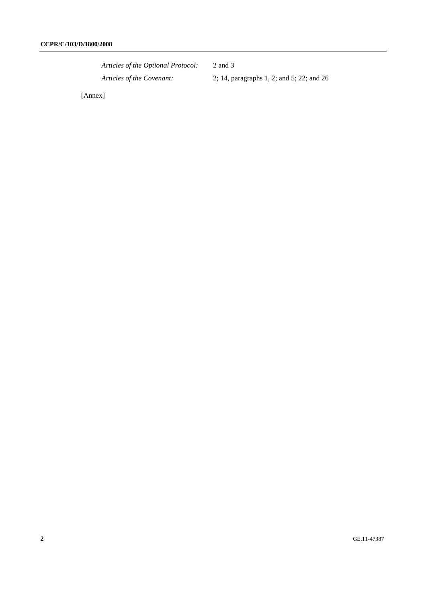*Articles of the Optional Protocol:* 2 and 3 *Articles of the Covenant:* 2; 14, paragraphs 1, 2; and 5; 22; and 26

[Annex]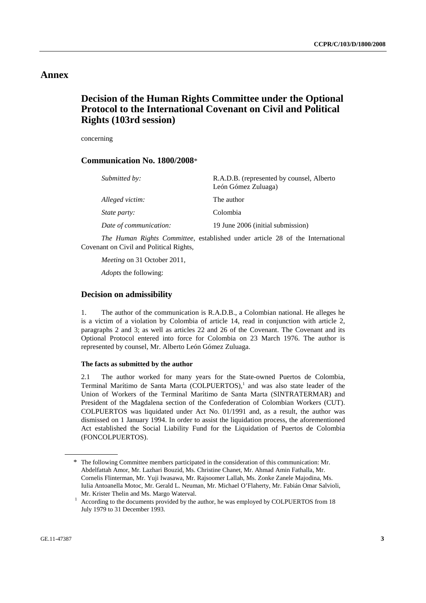## **Annex**

## **Decision of the Human Rights Committee under the Optional Protocol to the International Covenant on Civil and Political Rights (103rd session)**

concerning

#### **Communication No. 1800/2008**\*

| Submitted by:          | R.A.D.B. (represented by counsel, Alberto<br>León Gómez Zuluaga) |
|------------------------|------------------------------------------------------------------|
| Alleged victim:        | The author                                                       |
| <i>State party:</i>    | Colombia                                                         |
| Date of communication: | 19 June 2006 (initial submission)                                |

*The Human Rights Committee*, established under article 28 of the International Covenant on Civil and Political Rights,

*Meeting* on 31 October 2011,

*Adopts* the following:

#### **Decision on admissibility**

1. The author of the communication is R.A.D.B., a Colombian national. He alleges he is a victim of a violation by Colombia of article 14, read in conjunction with article 2, paragraphs 2 and 3; as well as articles 22 and 26 of the Covenant. The Covenant and its Optional Protocol entered into force for Colombia on 23 March 1976. The author is represented by counsel, Mr. Alberto León Gómez Zuluaga.

#### **The facts as submitted by the author**

2.1 The author worked for many years for the State-owned Puertos de Colombia, Terminal Marítimo de Santa Marta (COLPUERTOS), $<sup>1</sup>$  and was also state leader of the</sup> Union of Workers of the Terminal Marítimo de Santa Marta (SINTRATERMAR) and President of the Magdalena section of the Confederation of Colombian Workers (CUT). COLPUERTOS was liquidated under Act No. 01/1991 and, as a result, the author was dismissed on 1 January 1994. In order to assist the liquidation process, the aforementioned Act established the Social Liability Fund for the Liquidation of Puertos de Colombia (FONCOLPUERTOS).

<sup>\*</sup> The following Committee members participated in the consideration of this communication: Mr. Abdelfattah Amor, Mr. Lazhari Bouzid, Ms. Christine Chanet, Mr. Ahmad Amin Fathalla, Mr. Cornelis Flinterman, Mr. Yuji Iwasawa, Mr. Rajsoomer Lallah, Ms. Zonke Zanele Majodina, Ms. Iulia Antoanella Motoc, Mr. Gerald L. Neuman, Mr. Michael O'Flaherty, Mr. Fabián Omar Salvioli, Mr. Krister Thelin and Ms. Margo Waterval.<br> $\frac{1}{1}$  According to the documents provided by the

According to the documents provided by the author, he was employed by COLPUERTOS from 18 July 1979 to 31 December 1993.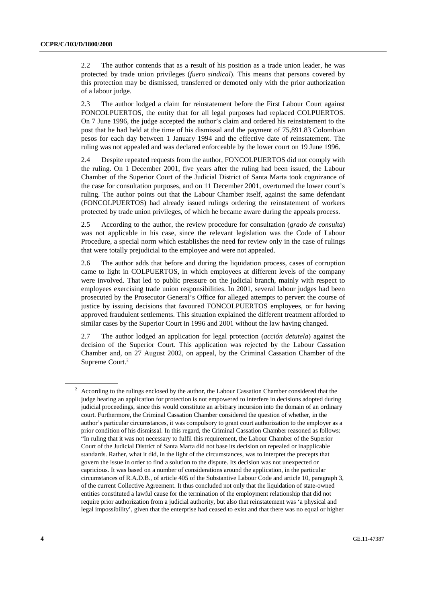2.2 The author contends that as a result of his position as a trade union leader, he was protected by trade union privileges (*fuero sindical*). This means that persons covered by this protection may be dismissed, transferred or demoted only with the prior authorization of a labour judge.

2.3 The author lodged a claim for reinstatement before the First Labour Court against FONCOLPUERTOS, the entity that for all legal purposes had replaced COLPUERTOS. On 7 June 1996, the judge accepted the author's claim and ordered his reinstatement to the post that he had held at the time of his dismissal and the payment of 75,891.83 Colombian pesos for each day between 1 January 1994 and the effective date of reinstatement. The ruling was not appealed and was declared enforceable by the lower court on 19 June 1996.

2.4 Despite repeated requests from the author, FONCOLPUERTOS did not comply with the ruling. On 1 December 2001, five years after the ruling had been issued, the Labour Chamber of the Superior Court of the Judicial District of Santa Marta took cognizance of the case for consultation purposes, and on 11 December 2001, overturned the lower court's ruling. The author points out that the Labour Chamber itself, against the same defendant (FONCOLPUERTOS) had already issued rulings ordering the reinstatement of workers protected by trade union privileges, of which he became aware during the appeals process.

2.5 According to the author, the review procedure for consultation (*grado de consulta*) was not applicable in his case, since the relevant legislation was the Code of Labour Procedure, a special norm which establishes the need for review only in the case of rulings that were totally prejudicial to the employee and were not appealed.

2.6 The author adds that before and during the liquidation process, cases of corruption came to light in COLPUERTOS, in which employees at different levels of the company were involved. That led to public pressure on the judicial branch, mainly with respect to employees exercising trade union responsibilities. In 2001, several labour judges had been prosecuted by the Prosecutor General's Office for alleged attempts to pervert the course of justice by issuing decisions that favoured FONCOLPUERTOS employees, or for having approved fraudulent settlements. This situation explained the different treatment afforded to similar cases by the Superior Court in 1996 and 2001 without the law having changed.

2.7 The author lodged an application for legal protection (*acción detutela*) against the decision of the Superior Court. This application was rejected by the Labour Cassation Chamber and, on 27 August 2002, on appeal, by the Criminal Cassation Chamber of the Supreme Court.<sup>2</sup>

<sup>2</sup> According to the rulings enclosed by the author, the Labour Cassation Chamber considered that the judge hearing an application for protection is not empowered to interfere in decisions adopted during judicial proceedings, since this would constitute an arbitrary incursion into the domain of an ordinary court. Furthermore, the Criminal Cassation Chamber considered the question of whether, in the author's particular circumstances, it was compulsory to grant court authorization to the employer as a prior condition of his dismissal. In this regard, the Criminal Cassation Chamber reasoned as follows: "In ruling that it was not necessary to fulfil this requirement, the Labour Chamber of the Superior Court of the Judicial District of Santa Marta did not base its decision on repealed or inapplicable standards. Rather, what it did, in the light of the circumstances, was to interpret the precepts that govern the issue in order to find a solution to the dispute. Its decision was not unexpected or capricious. It was based on a number of considerations around the application, in the particular circumstances of R.A.D.B., of article 405 of the Substantive Labour Code and article 10, paragraph 3, of the current Collective Agreement. It thus concluded not only that the liquidation of state-owned entities constituted a lawful cause for the termination of the employment relationship that did not require prior authorization from a judicial authority, but also that reinstatement was 'a physical and legal impossibility', given that the enterprise had ceased to exist and that there was no equal or higher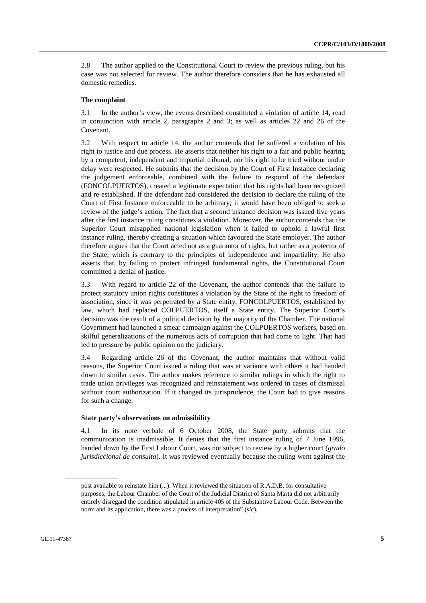2.8 The author applied to the Constitutional Court to review the previous ruling, but his case was not selected for review. The author therefore considers that he has exhausted all domestic remedies.

#### **The complaint**

3.1 In the author's view, the events described constituted a violation of article 14, read in conjunction with article 2, paragraphs 2 and 3; as well as articles 22 and 26 of the Covenant.

3.2 With respect to article 14, the author contends that he suffered a violation of his right to justice and due process. He asserts that neither his right to a fair and public hearing by a competent, independent and impartial tribunal, nor his right to be tried without undue delay were respected. He submits that the decision by the Court of First Instance declaring the judgement enforceable, combined with the failure to respond of the defendant (FONCOLPUERTOS), created a legitimate expectation that his rights had been recognized and re-established. If the defendant had considered the decision to declare the ruling of the Court of First Instance enforceable to be arbitrary, it would have been obliged to seek a review of the judge's action. The fact that a second instance decision was issued five years after the first instance ruling constitutes a violation. Moreover, the author contends that the Superior Court misapplied national legislation when it failed to uphold a lawful first instance ruling, thereby creating a situation which favoured the State employer. The author therefore argues that the Court acted not as a guarantor of rights, but rather as a protector of the State, which is contrary to the principles of independence and impartiality. He also asserts that, by failing to protect infringed fundamental rights, the Constitutional Court committed a denial of justice.

3.3 With regard to article 22 of the Covenant, the author contends that the failure to protect statutory union rights constitutes a violation by the State of the right to freedom of association, since it was perpetrated by a State entity, FONCOLPUERTOS, established by law, which had replaced COLPUERTOS, itself a State entity. The Superior Court's decision was the result of a political decision by the majority of the Chamber. The national Government had launched a smear campaign against the COLPUERTOS workers, based on skilful generalizations of the numerous acts of corruption that had come to light. That had led to pressure by public opinion on the judiciary.

3.4 Regarding article 26 of the Covenant, the author maintains that without valid reasons, the Superior Court issued a ruling that was at variance with others it had handed down in similar cases. The author makes reference to similar rulings in which the right to trade union privileges was recognized and reinstatement was ordered in cases of dismissal without court authorization. If it changed its jurisprudence, the Court had to give reasons for such a change.

#### **State party's observations on admissibility**

4.1 In its note verbale of 6 October 2008, the State party submits that the communication is inadmissible. It denies that the first instance ruling of 7 June 1996, handed down by the First Labour Court, was not subject to review by a higher court (*grado jurisdiccional de consulta*). It was reviewed eventually because the ruling went against the

post available to reinstate him (...). When it reviewed the situation of R.A.D.B. for consultative purposes, the Labour Chamber of the Court of the Judicial District of Santa Marta did not arbitrarily entirely disregard the condition stipulated in article 405 of the Substantive Labour Code. Between the norm and its application, there was a process of interpretation" (*sic*).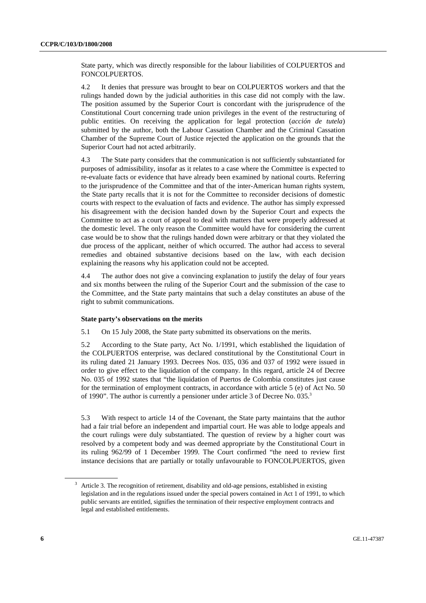State party, which was directly responsible for the labour liabilities of COLPUERTOS and FONCOLPUERTOS.

4.2 It denies that pressure was brought to bear on COLPUERTOS workers and that the rulings handed down by the judicial authorities in this case did not comply with the law. The position assumed by the Superior Court is concordant with the jurisprudence of the Constitutional Court concerning trade union privileges in the event of the restructuring of public entities. On receiving the application for legal protection (*acción de tutela*) submitted by the author, both the Labour Cassation Chamber and the Criminal Cassation Chamber of the Supreme Court of Justice rejected the application on the grounds that the Superior Court had not acted arbitrarily.

4.3 The State party considers that the communication is not sufficiently substantiated for purposes of admissibility, insofar as it relates to a case where the Committee is expected to re-evaluate facts or evidence that have already been examined by national courts. Referring to the jurisprudence of the Committee and that of the inter-American human rights system, the State party recalls that it is not for the Committee to reconsider decisions of domestic courts with respect to the evaluation of facts and evidence. The author has simply expressed his disagreement with the decision handed down by the Superior Court and expects the Committee to act as a court of appeal to deal with matters that were properly addressed at the domestic level. The only reason the Committee would have for considering the current case would be to show that the rulings handed down were arbitrary or that they violated the due process of the applicant, neither of which occurred. The author had access to several remedies and obtained substantive decisions based on the law, with each decision explaining the reasons why his application could not be accepted.

4.4 The author does not give a convincing explanation to justify the delay of four years and six months between the ruling of the Superior Court and the submission of the case to the Committee, and the State party maintains that such a delay constitutes an abuse of the right to submit communications.

#### **State party's observations on the merits**

5.1 On 15 July 2008, the State party submitted its observations on the merits.

5.2 According to the State party, Act No. 1/1991, which established the liquidation of the COLPUERTOS enterprise, was declared constitutional by the Constitutional Court in its ruling dated 21 January 1993. Decrees Nos. 035, 036 and 037 of 1992 were issued in order to give effect to the liquidation of the company. In this regard, article 24 of Decree No. 035 of 1992 states that "the liquidation of Puertos de Colombia constitutes just cause for the termination of employment contracts, in accordance with article 5 (e) of Act No. 50 of 1990". The author is currently a pensioner under article 3 of Decree No. 035.3

5.3 With respect to article 14 of the Covenant, the State party maintains that the author had a fair trial before an independent and impartial court. He was able to lodge appeals and the court rulings were duly substantiated. The question of review by a higher court was resolved by a competent body and was deemed appropriate by the Constitutional Court in its ruling 962/99 of 1 December 1999. The Court confirmed "the need to review first instance decisions that are partially or totally unfavourable to FONCOLPUERTOS, given

<sup>&</sup>lt;sup>3</sup> Article 3. The recognition of retirement, disability and old-age pensions, established in existing legislation and in the regulations issued under the special powers contained in Act 1 of 1991, to which public servants are entitled, signifies the termination of their respective employment contracts and legal and established entitlements.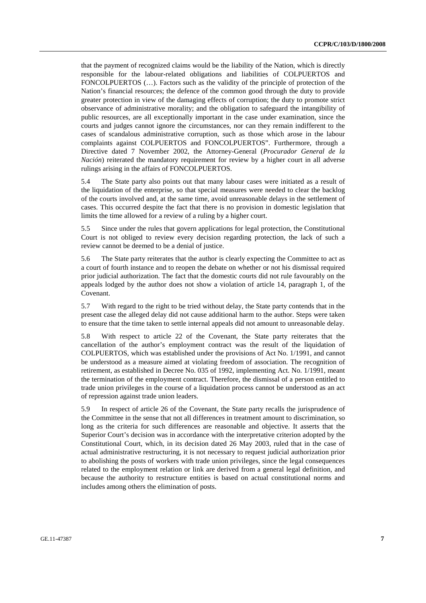that the payment of recognized claims would be the liability of the Nation, which is directly responsible for the labour-related obligations and liabilities of COLPUERTOS and FONCOLPUERTOS (…). Factors such as the validity of the principle of protection of the Nation's financial resources; the defence of the common good through the duty to provide greater protection in view of the damaging effects of corruption; the duty to promote strict observance of administrative morality; and the obligation to safeguard the intangibility of public resources, are all exceptionally important in the case under examination, since the courts and judges cannot ignore the circumstances, nor can they remain indifferent to the cases of scandalous administrative corruption, such as those which arose in the labour complaints against COLPUERTOS and FONCOLPUERTOS". Furthermore, through a Directive dated 7 November 2002, the Attorney-General (*Procurador General de la Nación*) reiterated the mandatory requirement for review by a higher court in all adverse rulings arising in the affairs of FONCOLPUERTOS.

5.4 The State party also points out that many labour cases were initiated as a result of the liquidation of the enterprise, so that special measures were needed to clear the backlog of the courts involved and, at the same time, avoid unreasonable delays in the settlement of cases. This occurred despite the fact that there is no provision in domestic legislation that limits the time allowed for a review of a ruling by a higher court.

5.5 Since under the rules that govern applications for legal protection, the Constitutional Court is not obliged to review every decision regarding protection, the lack of such a review cannot be deemed to be a denial of justice.

5.6 The State party reiterates that the author is clearly expecting the Committee to act as a court of fourth instance and to reopen the debate on whether or not his dismissal required prior judicial authorization. The fact that the domestic courts did not rule favourably on the appeals lodged by the author does not show a violation of article 14, paragraph 1, of the Covenant.

5.7 With regard to the right to be tried without delay, the State party contends that in the present case the alleged delay did not cause additional harm to the author. Steps were taken to ensure that the time taken to settle internal appeals did not amount to unreasonable delay.

5.8 With respect to article 22 of the Covenant, the State party reiterates that the cancellation of the author's employment contract was the result of the liquidation of COLPUERTOS, which was established under the provisions of Act No. 1/1991, and cannot be understood as a measure aimed at violating freedom of association. The recognition of retirement, as established in Decree No. 035 of 1992, implementing Act. No. 1/1991, meant the termination of the employment contract. Therefore, the dismissal of a person entitled to trade union privileges in the course of a liquidation process cannot be understood as an act of repression against trade union leaders.

5.9 In respect of article 26 of the Covenant, the State party recalls the jurisprudence of the Committee in the sense that not all differences in treatment amount to discrimination, so long as the criteria for such differences are reasonable and objective. It asserts that the Superior Court's decision was in accordance with the interpretative criterion adopted by the Constitutional Court, which, in its decision dated 26 May 2003, ruled that in the case of actual administrative restructuring, it is not necessary to request judicial authorization prior to abolishing the posts of workers with trade union privileges, since the legal consequences related to the employment relation or link are derived from a general legal definition, and because the authority to restructure entities is based on actual constitutional norms and includes among others the elimination of posts.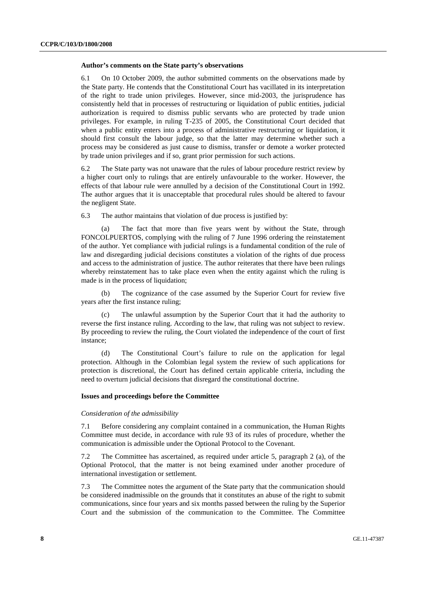#### **Author's comments on the State party's observations**

6.1 On 10 October 2009, the author submitted comments on the observations made by the State party. He contends that the Constitutional Court has vacillated in its interpretation of the right to trade union privileges. However, since mid-2003, the jurisprudence has consistently held that in processes of restructuring or liquidation of public entities, judicial authorization is required to dismiss public servants who are protected by trade union privileges. For example, in ruling T-235 of 2005, the Constitutional Court decided that when a public entity enters into a process of administrative restructuring or liquidation, it should first consult the labour judge, so that the latter may determine whether such a process may be considered as just cause to dismiss, transfer or demote a worker protected by trade union privileges and if so, grant prior permission for such actions.

6.2 The State party was not unaware that the rules of labour procedure restrict review by a higher court only to rulings that are entirely unfavourable to the worker. However, the effects of that labour rule were annulled by a decision of the Constitutional Court in 1992. The author argues that it is unacceptable that procedural rules should be altered to favour the negligent State.

6.3 The author maintains that violation of due process is justified by:

The fact that more than five years went by without the State, through FONCOLPUERTOS, complying with the ruling of 7 June 1996 ordering the reinstatement of the author. Yet compliance with judicial rulings is a fundamental condition of the rule of law and disregarding judicial decisions constitutes a violation of the rights of due process and access to the administration of justice. The author reiterates that there have been rulings whereby reinstatement has to take place even when the entity against which the ruling is made is in the process of liquidation;

 (b) The cognizance of the case assumed by the Superior Court for review five years after the first instance ruling;

 (c) The unlawful assumption by the Superior Court that it had the authority to reverse the first instance ruling. According to the law, that ruling was not subject to review. By proceeding to review the ruling, the Court violated the independence of the court of first instance;

 (d) The Constitutional Court's failure to rule on the application for legal protection. Although in the Colombian legal system the review of such applications for protection is discretional, the Court has defined certain applicable criteria, including the need to overturn judicial decisions that disregard the constitutional doctrine.

#### **Issues and proceedings before the Committee**

#### *Consideration of the admissibility*

7.1 Before considering any complaint contained in a communication, the Human Rights Committee must decide, in accordance with rule 93 of its rules of procedure, whether the communication is admissible under the Optional Protocol to the Covenant.

7.2 The Committee has ascertained, as required under article 5, paragraph 2 (a), of the Optional Protocol, that the matter is not being examined under another procedure of international investigation or settlement.

7.3 The Committee notes the argument of the State party that the communication should be considered inadmissible on the grounds that it constitutes an abuse of the right to submit communications, since four years and six months passed between the ruling by the Superior Court and the submission of the communication to the Committee. The Committee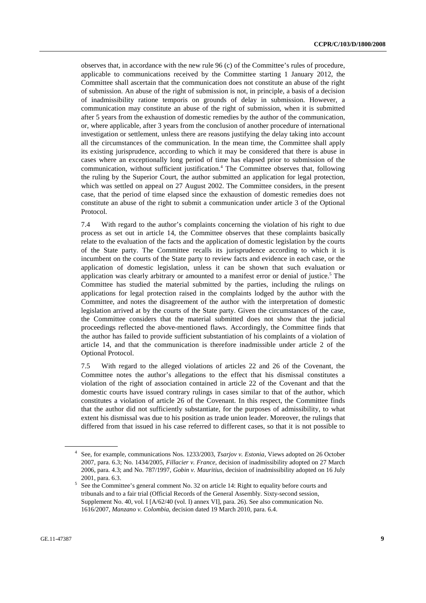observes that, in accordance with the new rule 96 (c) of the Committee's rules of procedure, applicable to communications received by the Committee starting 1 January 2012, the Committee shall ascertain that the communication does not constitute an abuse of the right of submission. An abuse of the right of submission is not, in principle, a basis of a decision of inadmissibility ratione temporis on grounds of delay in submission. However, a communication may constitute an abuse of the right of submission, when it is submitted after 5 years from the exhaustion of domestic remedies by the author of the communication, or, where applicable, after 3 years from the conclusion of another procedure of international investigation or settlement, unless there are reasons justifying the delay taking into account all the circumstances of the communication. In the mean time, the Committee shall apply its existing jurisprudence, according to which it may be considered that there is abuse in cases where an exceptionally long period of time has elapsed prior to submission of the communication, without sufficient justification.<sup>4</sup> The Committee observes that, following the ruling by the Superior Court, the author submitted an application for legal protection, which was settled on appeal on 27 August 2002. The Committee considers, in the present case, that the period of time elapsed since the exhaustion of domestic remedies does not constitute an abuse of the right to submit a communication under article 3 of the Optional Protocol.

7.4 With regard to the author's complaints concerning the violation of his right to due process as set out in article 14, the Committee observes that these complaints basically relate to the evaluation of the facts and the application of domestic legislation by the courts of the State party. The Committee recalls its jurisprudence according to which it is incumbent on the courts of the State party to review facts and evidence in each case, or the application of domestic legislation, unless it can be shown that such evaluation or application was clearly arbitrary or amounted to a manifest error or denial of justice.<sup>5</sup> The Committee has studied the material submitted by the parties, including the rulings on applications for legal protection raised in the complaints lodged by the author with the Committee, and notes the disagreement of the author with the interpretation of domestic legislation arrived at by the courts of the State party. Given the circumstances of the case, the Committee considers that the material submitted does not show that the judicial proceedings reflected the above-mentioned flaws. Accordingly, the Committee finds that the author has failed to provide sufficient substantiation of his complaints of a violation of article 14, and that the communication is therefore inadmissible under article 2 of the Optional Protocol.

7.5 With regard to the alleged violations of articles 22 and 26 of the Covenant, the Committee notes the author's allegations to the effect that his dismissal constitutes a violation of the right of association contained in article 22 of the Covenant and that the domestic courts have issued contrary rulings in cases similar to that of the author, which constitutes a violation of article 26 of the Covenant. In this respect, the Committee finds that the author did not sufficiently substantiate, for the purposes of admissibility, to what extent his dismissal was due to his position as trade union leader. Moreover, the rulings that differed from that issued in his case referred to different cases, so that it is not possible to

<sup>4</sup> See, for example, communications Nos. 1233/2003, *Tsarjov v. Estonia*, Views adopted on 26 October 2007, para. 6.3; No. 1434/2005, *Fillacier v. France*, decision of inadmissibility adopted on 27 March 2006, para. 4.3; and No. 787/1997, *Gobin v. Mauritius*, decision of inadmissibility adopted on 16 July

<sup>2001,</sup> para. 6.3.  $5$  See the Committee's general comment No. 32 on article 14: Right to equality before courts and tribunals and to a fair trial (Official Records of the General Assembly. Sixty-second session, Supplement No. 40, vol. I [A/62/40 (vol. I) annex VI], para. 26). See also communication No. 1616/2007, *Manzano v. Colombia*, decision dated 19 March 2010, para. 6.4.